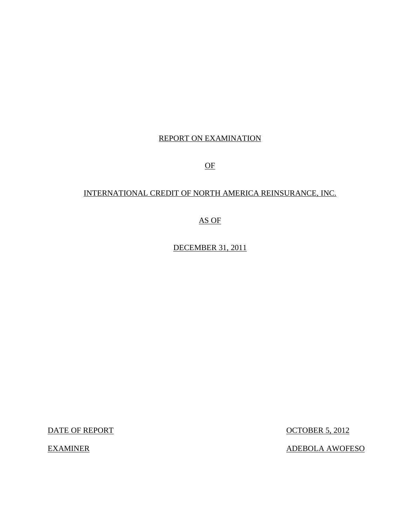### REPORT ON EXAMINATION

OF

## INTERNATIONAL CREDIT OF NORTH AMERICA REINSURANCE, INC.

AS OF

DECEMBER 31, 2011

**EXAMINER** 

DATE OF REPORT CONTROL CONTROL CONTROL CONTROL CONTROL CONTROL CONTROL CONTROL CONTROL CONTROL CONTROL CONTROL CONTROL CONTROL CONTROL CONTROL CONTROL CONTROL CONTROL CONTROL CONTROL CONTROL CONTROL CONTROL CONTROL CONTROL

ADEBOLA AWOFESO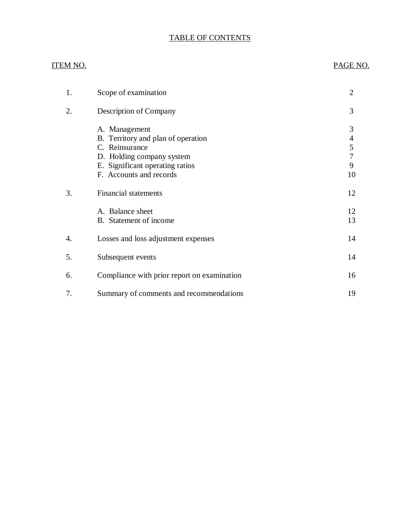## TABLE OF CONTENTS

# **ITEM NO.** [1. Scope of examination 2](#page-3-0) 2. Description of Company 3 3. Financial statements 12 4. Losses and loss adjustment expenses 14 5. Subsequent events 14 [6. Compliance with prior report on examination 16](#page-17-0) [7. Summary of comments and recommendations 19](#page-20-0) PAGE NO. A. Management 3 B. Territory and plan of operation 4<br>C. Reinsurance 5 C. Reinsurance D. Holding company system 7<br>
E. Significant operating ratios 9 E. Significant operating ratios F. Accounts and records 10 A. Balance sheet 12 B. Statement of income 13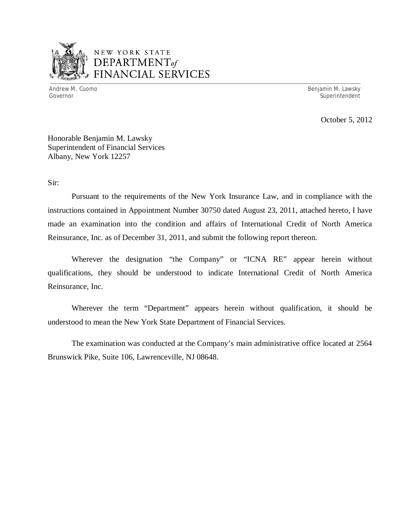

## NEW YORK STATE *DEPARTMENTof*  FINANCIAL SERVICES

Andrew M. Cuomo

Benjamin M. Lawsky Governor Superintendent Superintendent Superintendent Superintendent Superintendent Superintendent Superintendent

October 5, 2012

 Honorable Benjamin M. Lawsky Superintendent of Financial Services Albany, New York 12257

Sir:

 Pursuant to the requirements of the New York Insurance Law, and in compliance with the instructions contained in Appointment Number 30750 dated August 23, 2011, attached hereto, I have made an examination into the condition and affairs of International Credit of North America Reinsurance, Inc. as of December 31, 2011, and submit the following report thereon.

 Wherever the designation "the Company" or "ICNA RE" appear herein without qualifications, they should be understood to indicate International Credit of North America Reinsurance, Inc.

 Wherever the term "Department" appears herein without qualification, it should be understood to mean the New York State Department of Financial Services.

 Brunswick Pike, Suite 106, Lawrenceville, NJ 08648. The examination was conducted at the Company's main administrative office located at 2564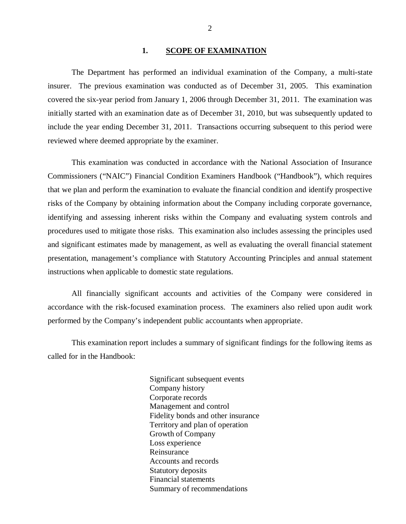#### **1. SCOPE OF EXAMINATION**

<span id="page-3-0"></span> The Department has performed an individual examination of the Company*,* a multi-state insurer. The previous examination was conducted as of December 31, 2005. This examination covered the six-year period from January 1, 2006 through December 31, 2011. The examination was initially started with an examination date as of December 31, 2010, but was subsequently updated to include the year ending December 31, 2011. Transactions occurring subsequent to this period were reviewed where deemed appropriate by the examiner.

 Commissioners ("NAIC") Financial Condition Examiners Handbook ("Handbook"), which requires that we plan and perform the examination to evaluate the financial condition and identify prospective risks of the Company by obtaining information about the Company including corporate governance, identifying and assessing inherent risks within the Company and evaluating system controls and procedures used to mitigate those risks. This examination also includes assessing the principles used and significant estimates made by management, as well as evaluating the overall financial statement presentation, management's compliance with Statutory Accounting Principles and annual statement instructions when applicable to domestic state regulations. This examination was conducted in accordance with the National Association of Insurance

 accordance with the risk-focused examination process. The examiners also relied upon audit work performed by the Company's independent public accountants when appropriate. All financially significant accounts and activities of the Company were considered in

 called for in the Handbook: This examination report includes a summary of significant findings for the following items as

> Significant subsequent events Company history Corporate records Management and control Fidelity bonds and other insurance Territory and plan of operation Growth of Company Loss experience Reinsurance Reinsurance Accounts and records Statutory deposits Financial statements Summary of recommendations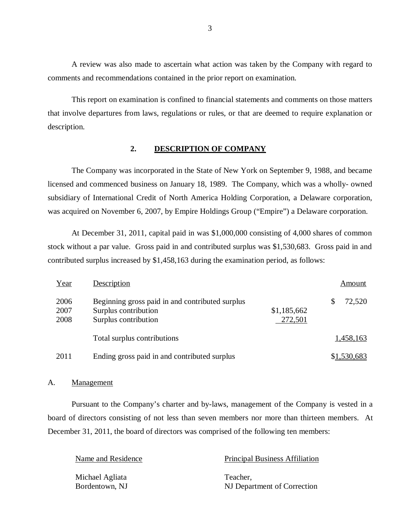comments and recommendations contained in the prior report on examination. A review was also made to ascertain what action was taken by the Company with regard to

 that involve departures from laws, regulations or rules, or that are deemed to require explanation or This report on examination is confined to financial statements and comments on those matters description.

#### **2. DESCRIPTION OF COMPANY**

 The Company was incorporated in the State of New York on September 9, 1988, and became licensed and commenced business on January 18, 1989. The Company, which was a wholly- owned subsidiary of International Credit of North America Holding Corporation, a Delaware corporation, was acquired on November 6, 2007, by Empire Holdings Group ("Empire") a Delaware corporation.

 At December 31, 2011, capital paid in was \$1,000,000 consisting of 4,000 shares of common stock without a par value. Gross paid in and contributed surplus was \$1,530,683. Gross paid in and contributed surplus increased by \$1,458,163 during the examination period, as follows:

| Year                 | Description                                                                                     |                        | Amount      |
|----------------------|-------------------------------------------------------------------------------------------------|------------------------|-------------|
| 2006<br>2007<br>2008 | Beginning gross paid in and contributed surplus<br>Surplus contribution<br>Surplus contribution | \$1,185,662<br>272,501 | 72,520<br>S |
|                      | Total surplus contributions                                                                     |                        | 1,458,163   |
| 2011                 | Ending gross paid in and contributed surplus                                                    |                        | \$1,530,683 |

#### A. Management

 Pursuant to the Company's charter and by-laws, management of the Company is vested in a board of directors consisting of not less than seven members nor more than thirteen members. At December 31, 2011, the board of directors was comprised of the following ten members:

| Name and Residence | <b>Principal Business Affiliation</b> |
|--------------------|---------------------------------------|
| Michael Agliata    | Teacher.                              |
| Bordentown, NJ     | NJ Department of Correction           |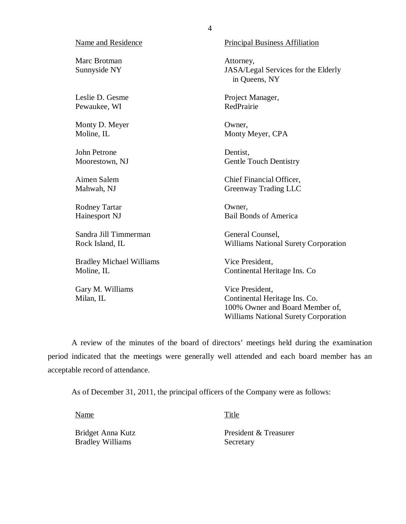#### Name and Residence

 Marc Brotman Sunnyside NY

 Leslie D. Gesme Pewaukee, WI

 Monty D. Meyer Moline, IL

 John Petrone Moorestown, NJ

 Aimen Salem Mahwah, NJ

 Rodney Tartar Hainesport NJ

 Sandra Jill Timmerman Rock Island, IL

 Bradley Michael Williams Moline, IL

 Gary M. Williams Milan, IL

Principal Business Affiliation

Attorney, JASA/Legal Services for the Elderly in Queens, NY

 Project Manager, RedPrairie

Owner, Monty Meyer, CPA

Dentist, Gentle Touch Dentistry

 Chief Financial Officer, Greenway Trading LLC

Owner, Bail Bonds of America

 General Counsel, Williams National Surety Corporation

 Vice President, Continental Heritage Ins. Co

 Vice President, Continental Heritage Ins. Co. 100% Owner and Board Member of, Williams National Surety Corporation

 period indicated that the meetings were generally well attended and each board member has an acceptable record of attendance. A review of the minutes of the board of directors' meetings held during the examination

As of December 31, 2011, the principal officers of the Company were as follows:

Name Title

Bridget Anna Kutz Bradley Williams Secretary

President & Treasurer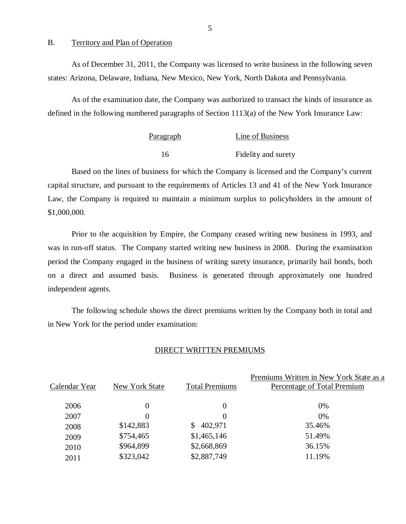B. Territory and Plan of Operation

 states: Arizona, Delaware, Indiana, New Mexico, New York, North Dakota and Pennsylvania. As of December 31, 2011, the Company was licensed to write business in the following seven

 defined in the following numbered paragraphs of Section 1113(a) of the New York Insurance Law: As of the examination date, the Company was authorized to transact the kinds of insurance as

| <b>Paragraph</b> | Line of Business    |
|------------------|---------------------|
| 16               | Fidelity and surety |

 Based on the lines of business for which the Company is licensed and the Company's current capital structure, and pursuant to the requirements of Articles 13 and 41 of the New York Insurance Law, the Company is required to maintain a minimum surplus to policyholders in the amount of \$1,000,000.

 was in run-off status. The Company started writing new business in 2008. During the examination period the Company engaged in the business of writing surety insurance, primarily bail bonds, both on a direct and assumed basis. Business is generated through approximately one hundred independent agents. Prior to the acquisition by Empire, the Company ceased writing new business in 1993, and

 in New York for the period under examination: The following schedule shows the direct premiums written by the Company both in total and

#### DIRECT WRITTEN PREMIUMS

| Calendar Year | New York State | <b>Total Premiums</b> | Premiums Written in New York State as a<br>Percentage of Total Premium |
|---------------|----------------|-----------------------|------------------------------------------------------------------------|
| 2006          | 0              | $\Omega$              | $0\%$                                                                  |
| 2007          | 0              | $\Omega$              | $0\%$                                                                  |
| 2008          | \$142,883      | 402,971<br>S.         | 35.46%                                                                 |
| 2009          | \$754,465      | \$1,465,146           | 51.49%                                                                 |
| 2010          | \$964,899      | \$2,668,869           | 36.15%                                                                 |
| 2011          | \$323,042      | \$2,887,749           | 11.19%                                                                 |
|               |                |                       |                                                                        |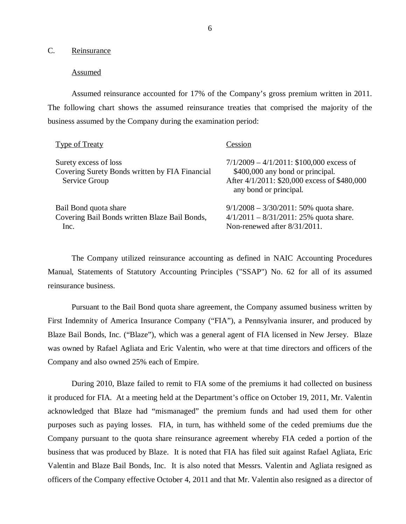C. Reinsurance

#### **Assumed**

 Assumed reinsurance accounted for 17% of the Company's gross premium written in 2011. The following chart shows the assumed reinsurance treaties that comprised the majority of the business assumed by the Company during the examination period:

| Type of Treaty                                                                           | Cession                                                                                                                                                   |
|------------------------------------------------------------------------------------------|-----------------------------------------------------------------------------------------------------------------------------------------------------------|
| Surety excess of loss<br>Covering Surety Bonds written by FIA Financial<br>Service Group | $7/1/2009 - 4/1/2011$ : \$100,000 excess of<br>\$400,000 any bond or principal.<br>After 4/1/2011: \$20,000 excess of \$480,000<br>any bond or principal. |
| Bail Bond quota share<br>Covering Bail Bonds written Blaze Bail Bonds,<br>Inc.           | $9/1/2008 - 3/30/2011$ : 50% quota share.<br>$4/1/2011 - 8/31/2011$ : 25% quota share.<br>Non-renewed after 8/31/2011.                                    |

 The Company utilized reinsurance accounting as defined in NAIC Accounting Procedures Manual, Statements of Statutory Accounting Principles ("SSAP") No. 62 for all of its assumed reinsurance business.

 Pursuant to the Bail Bond quota share agreement, the Company assumed business written by First Indemnity of America Insurance Company ("FIA"), a Pennsylvania insurer, and produced by Blaze Bail Bonds, Inc. ("Blaze"), which was a general agent of FIA licensed in New Jersey. Blaze was owned by Rafael Agliata and Eric Valentin, who were at that time directors and officers of the Company and also owned 25% each of Empire.

 During 2010, Blaze failed to remit to FIA some of the premiums it had collected on business it produced for FIA. At a meeting held at the Department's office on October 19, 2011, Mr. Valentin acknowledged that Blaze had "mismanaged" the premium funds and had used them for other purposes such as paying losses. FIA, in turn, has withheld some of the ceded premiums due the Company pursuant to the quota share reinsurance agreement whereby FIA ceded a portion of the business that was produced by Blaze. It is noted that FIA has filed suit against Rafael Agliata, Eric Valentin and Blaze Bail Bonds, Inc. It is also noted that Messrs. Valentin and Agliata resigned as officers of the Company effective October 4, 2011 and that Mr. Valentin also resigned as a director of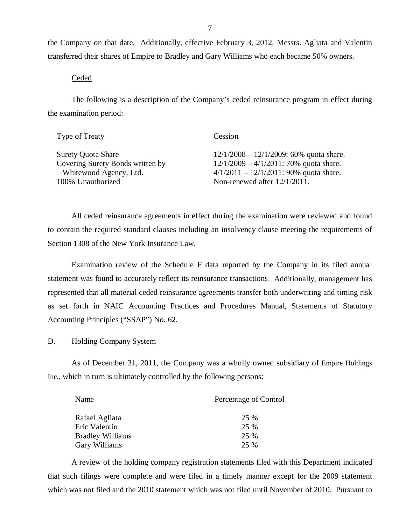the Company on that date. Additionally, effective February 3, 2012, Messrs. Agliata and Valentin transferred their shares of Empire to Bradley and Gary Williams who each became 50% owners.

Ceded

 The following is a description of the Company's ceded reinsurance program in effect during the examination period:

| Type of Treaty                   | Cession                                    |
|----------------------------------|--------------------------------------------|
| <b>Surety Quota Share</b>        | $12/1/2008 - 12/1/2009$ : 60% quota share. |
| Covering Surety Bonds written by | $12/1/2009 - 4/1/2011$ : 70% quota share.  |
| Whitewood Agency, Ltd.           | $4/1/2011 - 12/1/2011$ : 90% quota share.  |
| 100% Unauthorized                | Non-renewed after $12/1/2011$ .            |

 to contain the required standard clauses including an insolvency clause meeting the requirements of Section 1308 of the New York Insurance Law. All ceded reinsurance agreements in effect during the examination were reviewed and found

 Examination review of the Schedule F data reported by the Company in its filed annual statement was found to accurately reflect its reinsurance transactions. Additionally, management has represented that all material ceded reinsurance agreements transfer both underwriting and timing risk as set forth in NAIC Accounting Practices and Procedures Manual, Statements of Statutory Accounting Principles ("SSAP") No. 62.

#### D. Holding Company System

 As of December 31, 2011, the Company was a wholly owned subsidiary of Empire Holdings Inc., which in turn is ultimately controlled by the following persons:

| Name                    | Percentage of Control |
|-------------------------|-----------------------|
| Rafael Agliata          | 25 %                  |
| Eric Valentin           | 25 %                  |
| <b>Bradley Williams</b> | 25 %                  |
| Gary Williams           | 25 %                  |

 A review of the holding company registration statements filed with this Department indicated that such filings were complete and were filed in a timely manner except for the 2009 statement which was not filed and the 2010 statement which was not filed until November of 2010. Pursuant to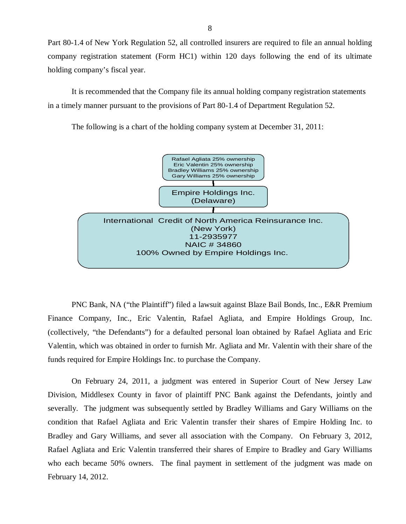Part 80-1.4 of New York Regulation 52, all controlled insurers are required to file an annual holding company registration statement (Form HC1) within 120 days following the end of its ultimate holding company's fiscal year.

 It is recommended that the Company file its annual holding company registration statements in a timely manner pursuant to the provisions of Part 80-1.4 of Department Regulation 52.

The following is a chart of the holding company system at December 31, 2011:



 PNC Bank, NA ("the Plaintiff") filed a lawsuit against Blaze Bail Bonds, Inc., E&R Premium Finance Company, Inc., Eric Valentin, Rafael Agliata, and Empire Holdings Group, Inc. (collectively, "the Defendants") for a defaulted personal loan obtained by Rafael Agliata and Eric Valentin, which was obtained in order to furnish Mr. Agliata and Mr. Valentin with their share of the funds required for Empire Holdings Inc. to purchase the Company.

 On February 24, 2011, a judgment was entered in Superior Court of New Jersey Law Division, Middlesex County in favor of plaintiff PNC Bank against the Defendants, jointly and severally. The judgment was subsequently settled by Bradley Williams and Gary Williams on the condition that Rafael Agliata and Eric Valentin transfer their shares of Empire Holding Inc. to Bradley and Gary Williams, and sever all association with the Company. On February 3, 2012, Rafael Agliata and Eric Valentin transferred their shares of Empire to Bradley and Gary Williams who each became 50% owners. The final payment in settlement of the judgment was made on February 14, 2012.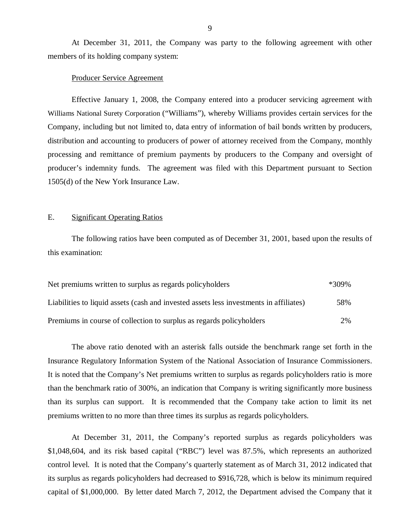members of its holding company system: At December 31, 2011, the Company was party to the following agreement with other

#### Producer Service Agreement

 Effective January 1, 2008, the Company entered into a producer servicing agreement with Williams National Surety Corporation ("Williams"), whereby Williams provides certain services for the Company, including but not limited to, data entry of information of bail bonds written by producers, distribution and accounting to producers of power of attorney received from the Company, monthly processing and remittance of premium payments by producers to the Company and oversight of producer's indemnity funds. The agreement was filed with this Department pursuant to Section 1505(d) of the New York Insurance Law.

#### E. Significant Operating Ratios

The following ratios have been computed as of December 31, 2001, based upon the results of this examination:

| Net premiums written to surplus as regards policyholders                               | *309% |
|----------------------------------------------------------------------------------------|-------|
| Liabilities to liquid assets (cash and invested assets less investments in affiliates) | 58%   |
| Premiums in course of collection to surplus as regards policyholders                   | 2%    |

 Insurance Regulatory Information System of the National Association of Insurance Commissioners. It is noted that the Company's Net premiums written to surplus as regards policyholders ratio is more than the benchmark ratio of 300%, an indication that Company is writing significantly more business than its surplus can support. It is recommended that the Company take action to limit its net premiums written to no more than three times its surplus as regards policyholders. The above ratio denoted with an asterisk falls outside the benchmark range set forth in the

 At December 31, 2011, the Company's reported surplus as regards policyholders was \$1,048,604, and its risk based capital ("RBC") level was 87.5%, which represents an authorized control level. It is noted that the Company's quarterly statement as of March 31, 2012 indicated that its surplus as regards policyholders had decreased to \$916,728, which is below its minimum required capital of \$1,000,000. By letter dated March 7, 2012, the Department advised the Company that it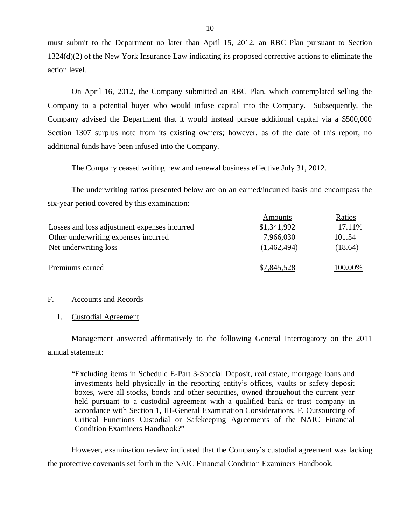must submit to the Department no later than April 15, 2012, an RBC Plan pursuant to Section 1324(d)(2) of the New York Insurance Law indicating its proposed corrective actions to eliminate the action level.

 On April 16, 2012, the Company submitted an RBC Plan, which contemplated selling the Company to a potential buyer who would infuse capital into the Company. Subsequently, the Company advised the Department that it would instead pursue additional capital via a \$500,000 Section 1307 surplus note from its existing owners; however, as of the date of this report, no additional funds have been infused into the Company.

The Company ceased writing new and renewal business effective July 31, 2012.

 The underwriting ratios presented below are on an earned/incurred basis and encompass the six-year period covered by this examination:

|                                              | Amounts     | Ratios  |
|----------------------------------------------|-------------|---------|
| Losses and loss adjustment expenses incurred | \$1,341,992 | 17.11%  |
| Other underwriting expenses incurred         | 7,966,030   | 101.54  |
| Net underwriting loss                        | (1,462,494) | (18.64) |
| Premiums earned                              | \$7,845,528 | 100.00% |

#### F. Accounts and Records

#### 1. Custodial Agreement

 Management answered affirmatively to the following General Interrogatory on the 2011 annual statement:

 "Excluding items in Schedule E-Part 3-Special Deposit, real estate, mortgage loans and investments held physically in the reporting entity's offices, vaults or safety deposit boxes, were all stocks, bonds and other securities, owned throughout the current year held pursuant to a custodial agreement with a qualified bank or trust company in accordance with Section 1, III-General Examination Considerations, F. Outsourcing of Critical Functions Custodial or Safekeeping Agreements of the NAIC Financial Condition Examiners Handbook?"

 However, examination review indicated that the Company's custodial agreement was lacking the protective covenants set forth in the NAIC Financial Condition Examiners Handbook.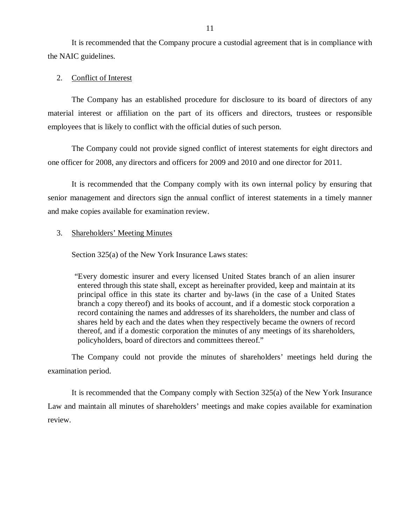It is recommended that the Company procure a custodial agreement that is in compliance with the NAIC guidelines.

#### 2. Conflict of Interest

 The Company has an established procedure for disclosure to its board of directors of any material interest or affiliation on the part of its officers and directors, trustees or responsible employees that is likely to conflict with the official duties of such person.

 The Company could not provide signed conflict of interest statements for eight directors and one officer for 2008, any directors and officers for 2009 and 2010 and one director for 2011.

 It is recommended that the Company comply with its own internal policy by ensuring that senior management and directors sign the annual conflict of interest statements in a timely manner and make copies available for examination review.

#### 3. Shareholders' Meeting Minutes

Section 325(a) of the New York Insurance Laws states:

 "Every domestic insurer and every licensed United States branch of an alien insurer entered through this state shall, except as hereinafter provided, keep and maintain at its principal office in this state its charter and by-laws (in the case of a United States branch a copy thereof) and its books of account, and if a domestic stock corporation a record containing the names and addresses of its shareholders, the number and class of shares held by each and the dates when they respectively became the owners of record thereof, and if a domestic corporation the minutes of any meetings of its shareholders, policyholders, board of directors and committees thereof."

 The Company could not provide the minutes of shareholders' meetings held during the examination period.

 It is recommended that the Company comply with Section 325(a) of the New York Insurance Law and maintain all minutes of shareholders' meetings and make copies available for examination review.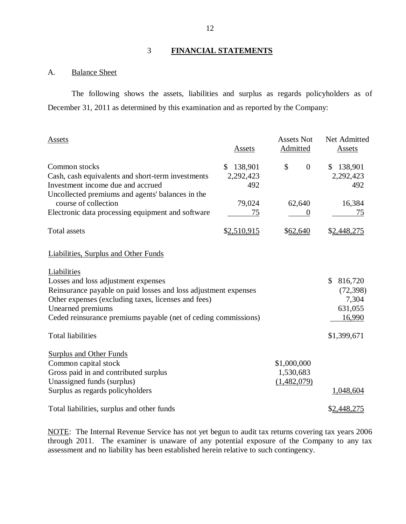## 3 **FINANCIAL STATEMENTS**

#### A. **Balance Sheet**

 December 31, 2011 as determined by this examination and as reported by the Company: The following shows the assets, liabilities and surplus as regards policyholders as of

| Assets                                                          | Assets        | <b>Assets Not</b><br>Admitted | Net Admitted<br>Assets |
|-----------------------------------------------------------------|---------------|-------------------------------|------------------------|
| Common stocks                                                   | 138,901<br>\$ | \$<br>$\overline{0}$          | \$<br>138,901          |
| Cash, cash equivalents and short-term investments               | 2,292,423     |                               | 2,292,423              |
| Investment income due and accrued                               | 492           |                               | 492                    |
| Uncollected premiums and agents' balances in the                |               |                               |                        |
| course of collection                                            | 79,024        | 62,640                        | 16,384                 |
| Electronic data processing equipment and software               | 75            |                               | 75                     |
| <b>Total assets</b>                                             | \$2,510,915   | \$62,640                      | \$2,448,275            |
| <b>Liabilities, Surplus and Other Funds</b>                     |               |                               |                        |
| Liabilities                                                     |               |                               |                        |
| Losses and loss adjustment expenses                             |               |                               | \$<br>816,720          |
| Reinsurance payable on paid losses and loss adjustment expenses |               |                               | (72, 398)              |
| Other expenses (excluding taxes, licenses and fees)             |               |                               | 7,304                  |
| Unearned premiums                                               |               |                               | 631,055                |
| Ceded reinsurance premiums payable (net of ceding commissions)  |               |                               | 16,990                 |
| <b>Total liabilities</b>                                        |               |                               | \$1,399,671            |
| <b>Surplus and Other Funds</b>                                  |               |                               |                        |
| Common capital stock                                            |               | \$1,000,000                   |                        |
| Gross paid in and contributed surplus                           |               | 1,530,683                     |                        |
| Unassigned funds (surplus)                                      |               | (1,482,079)                   |                        |
| Surplus as regards policyholders                                |               |                               | 1,048,604              |
| Total liabilities, surplus and other funds                      |               |                               | \$2,448,275            |

NOTE: The Internal Revenue Service has not yet begun to audit tax returns covering tax years 2006 through 2011. The examiner is unaware of any potential exposure of the Company to any tax assessment and no liability has been established herein relative to such contingency.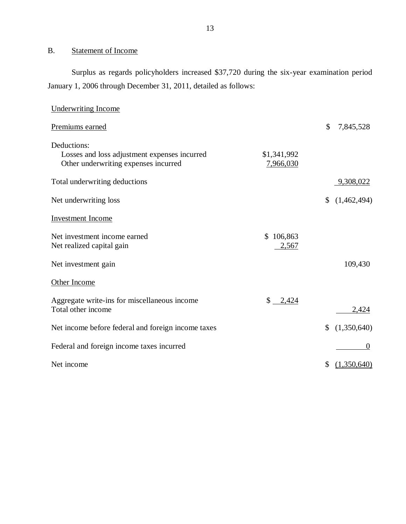#### B. Statement of Income

 Surplus as regards policyholders increased \$37,720 during the six-year examination period January 1, 2006 through December 31, 2011, detailed as follows:

| <b>Underwriting Income</b>                                                                          |                                  |                   |
|-----------------------------------------------------------------------------------------------------|----------------------------------|-------------------|
| Premiums earned                                                                                     |                                  | \$<br>7,845,528   |
| Deductions:<br>Losses and loss adjustment expenses incurred<br>Other underwriting expenses incurred | \$1,341,992<br>7,966,030         |                   |
| Total underwriting deductions                                                                       |                                  | 9,308,022         |
| Net underwriting loss                                                                               |                                  | \$<br>(1,462,494) |
| <b>Investment</b> Income                                                                            |                                  |                   |
| Net investment income earned<br>Net realized capital gain                                           | 106,863<br>$\mathbb{S}$<br>2,567 |                   |
| Net investment gain                                                                                 |                                  | 109,430           |
| Other Income                                                                                        |                                  |                   |
| Aggregate write-ins for miscellaneous income<br>Total other income                                  | $$ -2,424$                       | 2,424             |
| Net income before federal and foreign income taxes                                                  |                                  | \$<br>(1,350,640) |
| Federal and foreign income taxes incurred                                                           |                                  | $\theta$          |
| Net income                                                                                          |                                  | \$<br>(1,350,640) |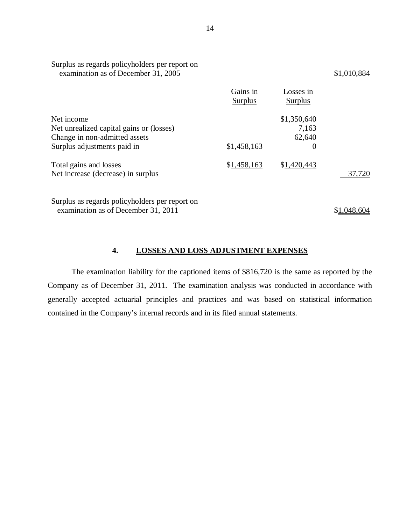| Surplus as regards policyholders per report on<br>examination as of December 31, 2005                                  |                            |                                | \$1,010,884 |
|------------------------------------------------------------------------------------------------------------------------|----------------------------|--------------------------------|-------------|
|                                                                                                                        | Gains in<br><b>Surplus</b> | Losses in<br><b>Surplus</b>    |             |
| Net income<br>Net unrealized capital gains or (losses)<br>Change in non-admitted assets<br>Surplus adjustments paid in | \$1,458,163                | \$1,350,640<br>7,163<br>62,640 |             |
| Total gains and losses<br>Net increase (decrease) in surplus                                                           | \$1,458,163                | \$1,420,443                    | 37,720      |
| Surplus as regards policyholders per report on                                                                         |                            |                                |             |

examination as of December 31, 2011  $$1,048,604$ 

#### **4. LOSSES AND LOSS ADJUSTMENT EXPENSES**

 Company as of December 31, 2011. The examination analysis was conducted in accordance with generally accepted actuarial principles and practices and was based on statistical information contained in the Company's internal records and in its filed annual statements. The examination liability for the captioned items of \$816,720 is the same as reported by the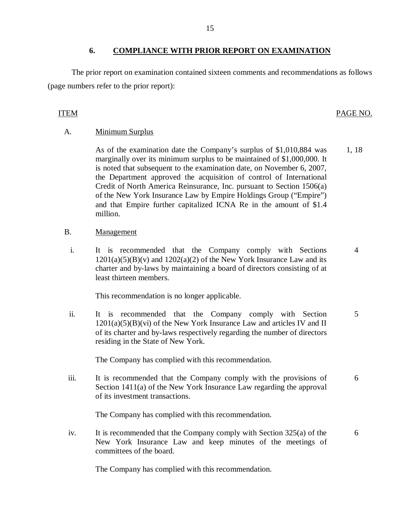### **6. COMPLIANCE WITH PRIOR REPORT ON EXAMINATION**

 The prior report on examination contained sixteen comments and recommendations as follows (page numbers refer to the prior report):

#### PAGE NO. ITEM PAGE NO.

### A. **Minimum Surplus**

 marginally over its minimum surplus to be maintained of \$1,000,000. It is noted that subsequent to the examination date, on November 6, 2007, the Department approved the acquisition of control of International Credit of North America Reinsurance, Inc. pursuant to Section 1506(a) of the New York Insurance Law by Empire Holdings Group ("Empire") and that Empire further capitalized ICNA Re in the amount of \$1.4 1, 18 As of the examination date the Company's surplus of \$1,010,884 was million.

- B. Management
	- $\mathbf{i}$ .  $1201(a)(5)(B)(v)$  and  $1202(a)(2)$  of the New York Insurance Law and its charter and by-laws by maintaining a board of directors consisting of at least thirteen members. It is recommended that the Company comply with Sections 4

This recommendation is no longer applicable.

 $ii.$  $1201(a)(5)(B)(vi)$  of the New York Insurance Law and articles IV and II of its charter and by-laws respectively regarding the number of directors residing in the State of New York. It is recommended that the Company comply with Section 5

The Company has complied with this recommendation.

iii. Section 1411(a) of the New York Insurance Law regarding the approval of its investment transactions. It is recommended that the Company comply with the provisions of 6

The Company has complied with this recommendation.

 $iv.$  New York Insurance Law and keep minutes of the meetings of committees of the board. It is recommended that the Company comply with Section  $325(a)$  of the 6

The Company has complied with this recommendation.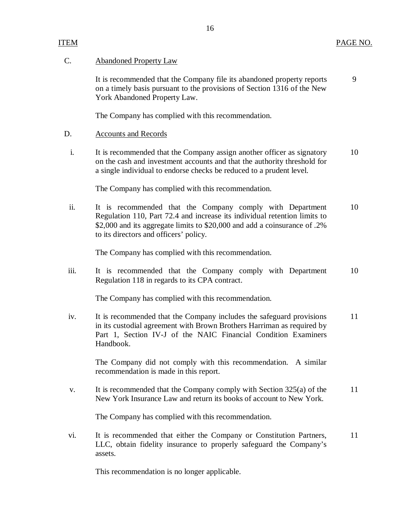## <span id="page-17-0"></span>C. Abandoned Property Law

 on a timely basis pursuant to the provisions of Section 1316 of the New York Abandoned Property Law. 9 It is recommended that the Company file its abandoned property reports

The Company has complied with this recommendation.

#### D. Accounts and Records

 $\mathbf{i}$ . on the cash and investment accounts and that the authority threshold for a single individual to endorse checks be reduced to a prudent level. It is recommended that the Company assign another officer as signatory 10

The Company has complied with this recommendation.

ii. Regulation 110, Part 72.4 and increase its individual retention limits to \$2,000 and its aggregate limits to \$20,000 and add a coinsurance of .2% to its directors and officers' policy. It is recommended that the Company comply with Department 10

The Company has complied with this recommendation.

iii. Regulation 118 in regards to its CPA contract. It is recommended that the Company comply with Department 10

The Company has complied with this recommendation.

iv. in its custodial agreement with Brown Brothers Harriman as required by Part 1, Section IV-J of the NAIC Financial Condition Examiners It is recommended that the Company includes the safeguard provisions 11 Handbook.

 The Company did not comply with this recommendation. A similar recommendation is made in this report.

 $V_{\star}$  New York Insurance Law and return its books of account to New York. It is recommended that the Company comply with Section  $325(a)$  of the 11

The Company has complied with this recommendation.

vi. LLC, obtain fidelity insurance to properly safeguard the Company's It is recommended that either the Company or Constitution Partners, assets. 11

This recommendation is no longer applicable.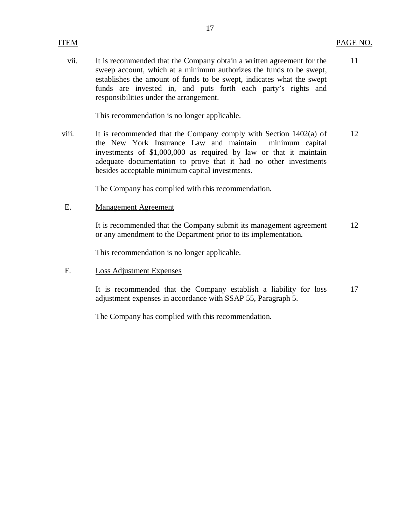vii. sweep account, which at a minimum authorizes the funds to be swept, establishes the amount of funds to be swept, indicates what the swept funds are invested in, and puts forth each party's rights and responsibilities under the arrangement. It is recommended that the Company obtain a written agreement for the 11

This recommendation is no longer applicable.

viii. the New York Insurance Law and maintain minimum capital investments of \$1,000,000 as required by law or that it maintain adequate documentation to prove that it had no other investments besides acceptable minimum capital investments. It is recommended that the Company comply with Section  $1402(a)$  of 12

The Company has complied with this recommendation.

E. Management Agreement

 or any amendment to the Department prior to its implementation. It is recommended that the Company submit its management agreement 12

This recommendation is no longer applicable.

 $F_{1}$ Loss Adjustment Expenses

> adjustment expenses in accordance with SSAP 55, Paragraph 5. It is recommended that the Company establish a liability for loss 17

The Company has complied with this recommendation.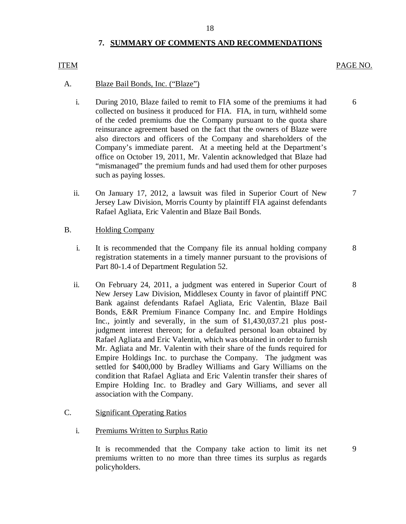#### 18

#### **7. SUMMARY OF COMMENTS AND RECOMMENDATIONS**

#### PAGE NO. ITEM PAGE NO.

#### $\mathbf{A}$ . Blaze Bail Bonds, Inc. ("Blaze")

- i. During 2010, Blaze failed to remit to FIA some of the premiums it had 6 collected on business it produced for FIA. FIA, in turn, withheld some of the ceded premiums due the Company pursuant to the quota share reinsurance agreement based on the fact that the owners of Blaze were also directors and officers of the Company and shareholders of the Company's immediate parent. At a meeting held at the Department's office on October 19, 2011, Mr. Valentin acknowledged that Blaze had "mismanaged" the premium funds and had used them for other purposes such as paying losses.
- ii. Jersey Law Division, Morris County by plaintiff FIA against defendants Rafael Agliata, Eric Valentin and Blaze Bail Bonds. On January 17, 2012, a lawsuit was filed in Superior Court of New 7

#### B. Holding Company

- $\mathbf{i}$ . registration statements in a timely manner pursuant to the provisions of Part 80-1.4 of Department Regulation 52. It is recommended that the Company file its annual holding company 8
- ii. On February 24, 2011, a judgment was entered in Superior Court of 8 New Jersey Law Division, Middlesex County in favor of plaintiff PNC Bank against defendants Rafael Agliata, Eric Valentin, Blaze Bail Bonds, E&R Premium Finance Company Inc. and Empire Holdings Inc., jointly and severally, in the sum of \$[1,430,037.21](https://1,430,037.21) plus post- judgment interest thereon; for a defaulted personal loan obtained by Rafael Agliata and Eric Valentin, which was obtained in order to furnish Mr. Agliata and Mr. Valentin with their share of the funds required for Empire Holdings Inc. to purchase the Company. The judgment was settled for \$400,000 by Bradley Williams and Gary Williams on the condition that Rafael Agliata and Eric Valentin transfer their shares of Empire Holding Inc. to Bradley and Gary Williams, and sever all association with the Company.

## C. Significant Operating Ratios

i. Premiums Written to Surplus Ratio

 premiums written to no more than three times its surplus as regards It is recommended that the Company take action to limit its net 9 policyholders.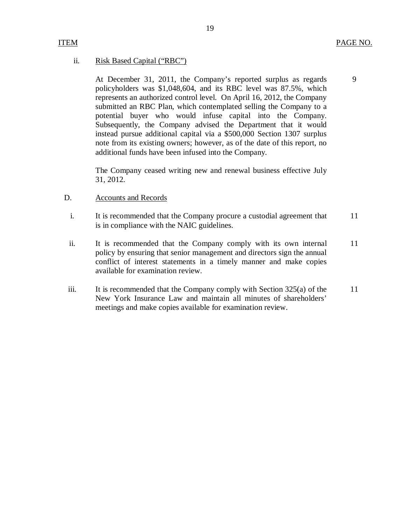9

#### <span id="page-20-0"></span>ii. Risk Based Capital ("RBC")

 policyholders was \$1,048,604, and its RBC level was 87.5%, which represents an authorized control level. On April 16, 2012, the Company submitted an RBC Plan, which contemplated selling the Company to a potential buyer who would infuse capital into the Company. Subsequently, the Company advised the Department that it would instead pursue additional capital via a \$500,000 Section 1307 surplus note from its existing owners; however, as of the date of this report, no additional funds have been infused into the Company. At December 31, 2011, the Company's reported surplus as regards

 The Company ceased writing new and renewal business effective July 31, 2012.

#### D. Accounts and Records

- $\mathbf{i}$ . is in compliance with the NAIC guidelines. It is recommended that the Company procure a custodial agreement that 11
- ii. policy by ensuring that senior management and directors sign the annual conflict of interest statements in a timely manner and make copies available for examination review. It is recommended that the Company comply with its own internal 11
- iii. New York Insurance Law and maintain all minutes of shareholders' meetings and make copies available for examination review. It is recommended that the Company comply with Section  $325(a)$  of the 11